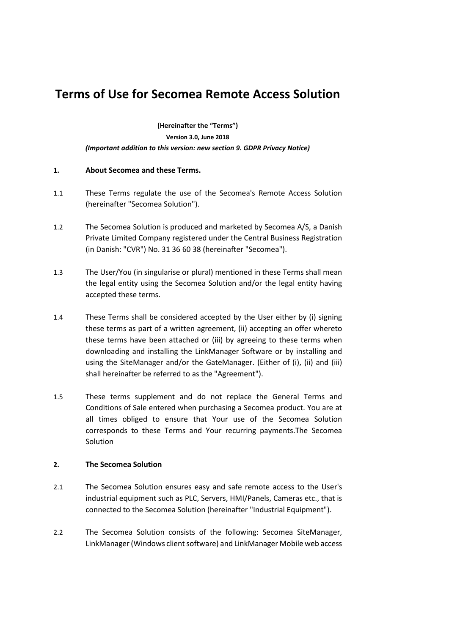# **Terms of Use for Secomea Remote Access Solution**

**(Hereinafter the "Terms")**

**Version 3.0, June 2018**

*(Important addition to this version: new section 9. GDPR Privacy Notice)*

# **1. About Secomea and these Terms.**

- 1.1 These Terms regulate the use of the Secomea's Remote Access Solution (hereinafter "Secomea Solution").
- 1.2 The Secomea Solution is produced and marketed by Secomea A/S, a Danish Private Limited Company registered under the Central Business Registration (in Danish: "CVR") No. 31 36 60 38 (hereinafter "Secomea").
- 1.3 The User/You (in singularise or plural) mentioned in these Terms shall mean the legal entity using the Secomea Solution and/or the legal entity having accepted these terms.
- 1.4 These Terms shall be considered accepted by the User either by (i) signing these terms as part of a written agreement, (ii) accepting an offer whereto these terms have been attached or (iii) by agreeing to these terms when downloading and installing the LinkManager Software or by installing and using the SiteManager and/or the GateManager. (Either of (i), (ii) and (iii) shall hereinafter be referred to as the "Agreement").
- 1.5 These terms supplement and do not replace the General Terms and Conditions of Sale entered when purchasing a Secomea product. You are at all times obliged to ensure that Your use of the Secomea Solution corresponds to these Terms and Your recurring payments.The Secomea Solution

## **2. The Secomea Solution**

- 2.1 The Secomea Solution ensures easy and safe remote access to the User's industrial equipment such as PLC, Servers, HMI/Panels, Cameras etc., that is connected to the Secomea Solution (hereinafter "Industrial Equipment").
- 2.2 The Secomea Solution consists of the following: Secomea SiteManager, LinkManager (Windows client software) and LinkManager Mobile web access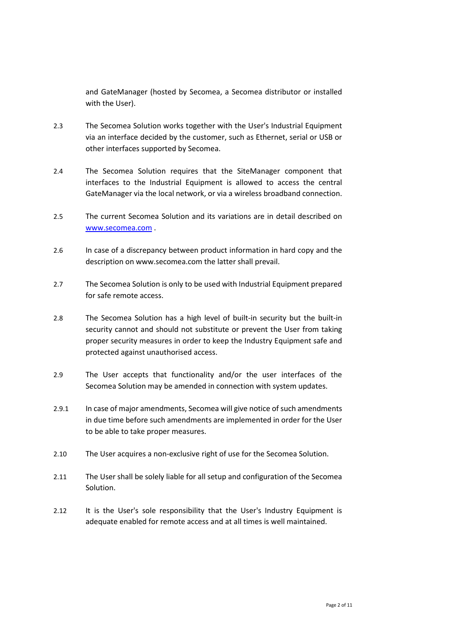and GateManager (hosted by Secomea, a Secomea distributor or installed with the User).

- 2.3 The Secomea Solution works together with the User's Industrial Equipment via an interface decided by the customer, such as Ethernet, serial or USB or other interfaces supported by Secomea.
- 2.4 The Secomea Solution requires that the SiteManager component that interfaces to the Industrial Equipment is allowed to access the central GateManager via the local network, or via a wireless broadband connection.
- 2.5 The current Secomea Solution and its variations are in detail described on [www.secomea.com](http://www.secomea.com/) .
- 2.6 In case of a discrepancy between product information in hard copy and the description on www.secomea.com the latter shall prevail.
- 2.7 The Secomea Solution is only to be used with Industrial Equipment prepared for safe remote access.
- 2.8 The Secomea Solution has a high level of built-in security but the built-in security cannot and should not substitute or prevent the User from taking proper security measures in order to keep the Industry Equipment safe and protected against unauthorised access.
- 2.9 The User accepts that functionality and/or the user interfaces of the Secomea Solution may be amended in connection with system updates.
- 2.9.1 In case of major amendments, Secomea will give notice of such amendments in due time before such amendments are implemented in order for the User to be able to take proper measures.
- 2.10 The User acquires a non-exclusive right of use for the Secomea Solution.
- 2.11 The User shall be solely liable for all setup and configuration of the Secomea Solution.
- 2.12 It is the User's sole responsibility that the User's Industry Equipment is adequate enabled for remote access and at all times is well maintained.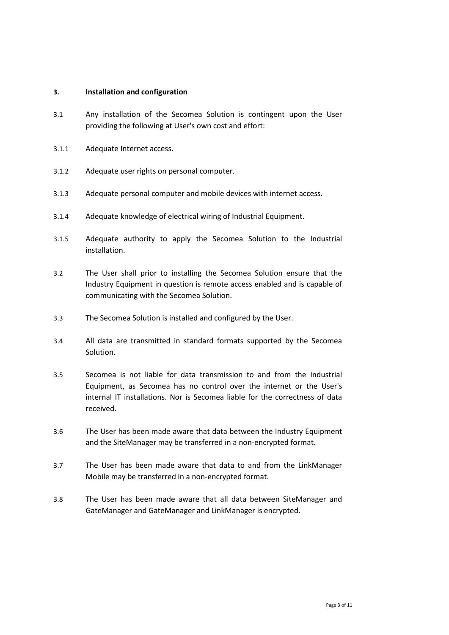## **3. Installation and configuration**

- 3.1 Any installation of the Secomea Solution is contingent upon the User providing the following at User's own cost and effort:
- 3.1.1 Adequate Internet access.
- 3.1.2 Adequate user rights on personal computer.
- 3.1.3 Adequate personal computer and mobile devices with internet access.
- 3.1.4 Adequate knowledge of electrical wiring of Industrial Equipment.
- 3.1.5 Adequate authority to apply the Secomea Solution to the Industrial installation.
- 3.2 The User shall prior to installing the Secomea Solution ensure that the Industry Equipment in question is remote access enabled and is capable of communicating with the Secomea Solution.
- 3.3 The Secomea Solution is installed and configured by the User.
- 3.4 All data are transmitted in standard formats supported by the Secomea Solution.
- 3.5 Secomea is not liable for data transmission to and from the Industrial Equipment, as Secomea has no control over the internet or the User's internal IT installations. Nor is Secomea liable for the correctness of data received.
- 3.6 The User has been made aware that data between the Industry Equipment and the SiteManager may be transferred in a non-encrypted format.
- 3.7 The User has been made aware that data to and from the LinkManager Mobile may be transferred in a non-encrypted format.
- 3.8 The User has been made aware that all data between SiteManager and GateManager and GateManager and LinkManager is encrypted.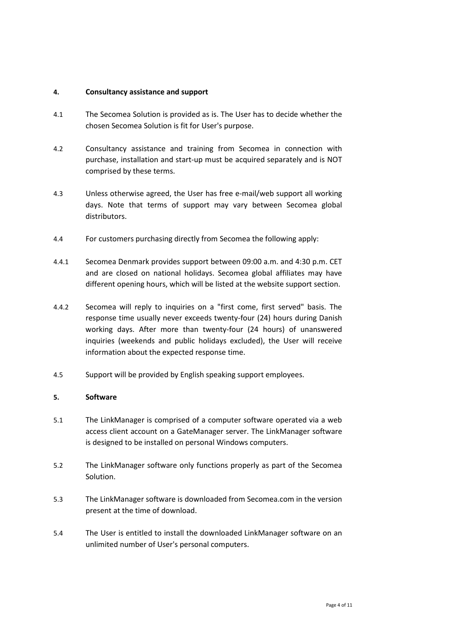## **4. Consultancy assistance and support**

- 4.1 The Secomea Solution is provided as is. The User has to decide whether the chosen Secomea Solution is fit for User's purpose.
- 4.2 Consultancy assistance and training from Secomea in connection with purchase, installation and start-up must be acquired separately and is NOT comprised by these terms.
- 4.3 Unless otherwise agreed, the User has free e-mail/web support all working days. Note that terms of support may vary between Secomea global distributors.
- 4.4 For customers purchasing directly from Secomea the following apply:
- 4.4.1 Secomea Denmark provides support between 09:00 a.m. and 4:30 p.m. CET and are closed on national holidays. Secomea global affiliates may have different opening hours, which will be listed at the website support section.
- 4.4.2 Secomea will reply to inquiries on a "first come, first served" basis. The response time usually never exceeds twenty-four (24) hours during Danish working days. After more than twenty-four (24 hours) of unanswered inquiries (weekends and public holidays excluded), the User will receive information about the expected response time.
- 4.5 Support will be provided by English speaking support employees.

## **5. Software**

- 5.1 The LinkManager is comprised of a computer software operated via a web access client account on a GateManager server. The LinkManager software is designed to be installed on personal Windows computers.
- 5.2 The LinkManager software only functions properly as part of the Secomea Solution.
- 5.3 The LinkManager software is downloaded from Secomea.com in the version present at the time of download.
- 5.4 The User is entitled to install the downloaded LinkManager software on an unlimited number of User's personal computers.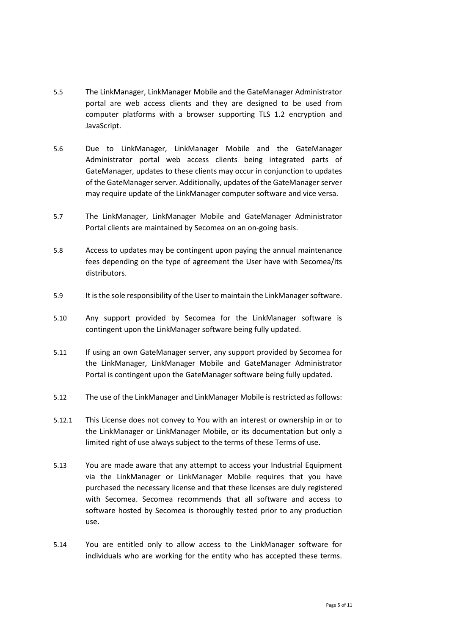- 5.5 The LinkManager, LinkManager Mobile and the GateManager Administrator portal are web access clients and they are designed to be used from computer platforms with a browser supporting TLS 1.2 encryption and JavaScript.
- 5.6 Due to LinkManager, LinkManager Mobile and the GateManager Administrator portal web access clients being integrated parts of GateManager, updates to these clients may occur in conjunction to updates of the GateManager server. Additionally, updates of the GateManager server may require update of the LinkManager computer software and vice versa.
- 5.7 The LinkManager, LinkManager Mobile and GateManager Administrator Portal clients are maintained by Secomea on an on-going basis.
- 5.8 Access to updates may be contingent upon paying the annual maintenance fees depending on the type of agreement the User have with Secomea/its distributors.
- 5.9 It is the sole responsibility of the User to maintain the LinkManager software.
- 5.10 Any support provided by Secomea for the LinkManager software is contingent upon the LinkManager software being fully updated.
- 5.11 If using an own GateManager server, any support provided by Secomea for the LinkManager, LinkManager Mobile and GateManager Administrator Portal is contingent upon the GateManager software being fully updated.
- 5.12 The use of the LinkManager and LinkManager Mobile is restricted as follows:
- 5.12.1 This License does not convey to You with an interest or ownership in or to the LinkManager or LinkManager Mobile, or its documentation but only a limited right of use always subject to the terms of these Terms of use.
- 5.13 You are made aware that any attempt to access your Industrial Equipment via the LinkManager or LinkManager Mobile requires that you have purchased the necessary license and that these licenses are duly registered with Secomea. Secomea recommends that all software and access to software hosted by Secomea is thoroughly tested prior to any production use.
- 5.14 You are entitled only to allow access to the LinkManager software for individuals who are working for the entity who has accepted these terms.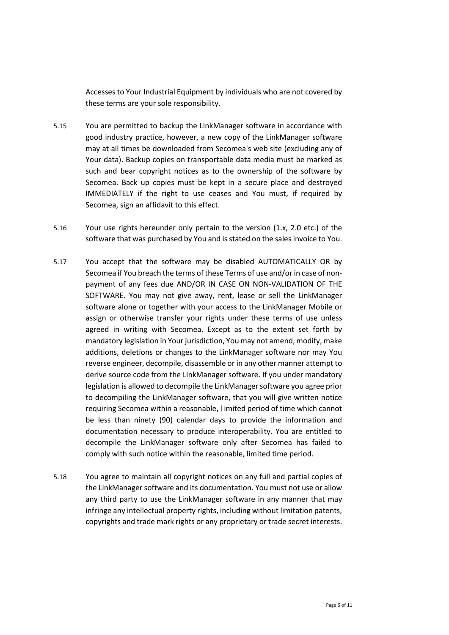Accesses to Your Industrial Equipment by individuals who are not covered by these terms are your sole responsibility.

- 5.15 You are permitted to backup the LinkManager software in accordance with good industry practice, however, a new copy of the LinkManager software may at all times be downloaded from Secomea's web site (excluding any of Your data). Backup copies on transportable data media must be marked as such and bear copyright notices as to the ownership of the software by Secomea. Back up copies must be kept in a secure place and destroyed IMMEDIATELY if the right to use ceases and You must, if required by Secomea, sign an affidavit to this effect.
- 5.16 Your use rights hereunder only pertain to the version (1.x, 2.0 etc.) of the software that was purchased by You and is stated on the sales invoice to You.
- 5.17 You accept that the software may be disabled AUTOMATICALLY OR by Secomea if You breach the terms of these Terms of use and/or in case of nonpayment of any fees due AND/OR IN CASE ON NON-VALIDATION OF THE SOFTWARE. You may not give away, rent, lease or sell the LinkManager software alone or together with your access to the LinkManager Mobile or assign or otherwise transfer your rights under these terms of use unless agreed in writing with Secomea. Except as to the extent set forth by mandatory legislation in Your jurisdiction, You may not amend, modify, make additions, deletions or changes to the LinkManager software nor may You reverse engineer, decompile, disassemble or in any other manner attempt to derive source code from the LinkManager software. If you under mandatory legislation is allowed to decompile the LinkManager software you agree prior to decompiling the LinkManager software, that you will give written notice requiring Secomea within a reasonable, l imited period of time which cannot be less than ninety (90) calendar days to provide the information and documentation necessary to produce interoperability. You are entitled to decompile the LinkManager software only after Secomea has failed to comply with such notice within the reasonable, limited time period.
- 5.18 You agree to maintain all copyright notices on any full and partial copies of the LinkManager software and its documentation. You must not use or allow any third party to use the LinkManager software in any manner that may infringe any intellectual property rights, including without limitation patents, copyrights and trade mark rights or any proprietary or trade secret interests.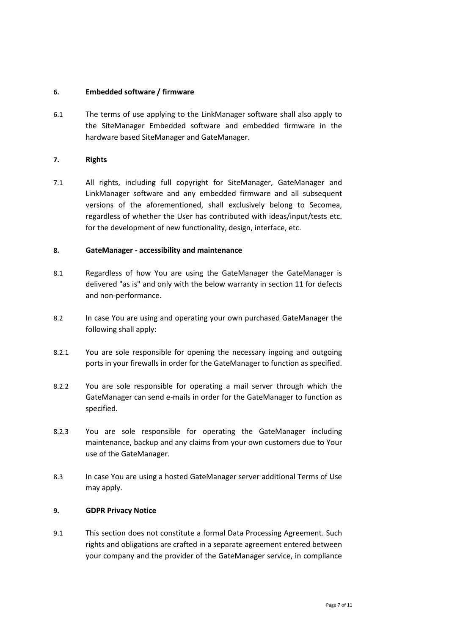## **6. Embedded software / firmware**

6.1 The terms of use applying to the LinkManager software shall also apply to the SiteManager Embedded software and embedded firmware in the hardware based SiteManager and GateManager.

## **7. Rights**

7.1 All rights, including full copyright for SiteManager, GateManager and LinkManager software and any embedded firmware and all subsequent versions of the aforementioned, shall exclusively belong to Secomea, regardless of whether the User has contributed with ideas/input/tests etc. for the development of new functionality, design, interface, etc.

## **8. GateManager - accessibility and maintenance**

- 8.1 Regardless of how You are using the GateManager the GateManager is delivered "as is" and only with the below warranty in section 11 for defects and non-performance.
- 8.2 In case You are using and operating your own purchased GateManager the following shall apply:
- 8.2.1 You are sole responsible for opening the necessary ingoing and outgoing ports in your firewalls in order for the GateManager to function as specified.
- 8.2.2 You are sole responsible for operating a mail server through which the GateManager can send e-mails in order for the GateManager to function as specified.
- 8.2.3 You are sole responsible for operating the GateManager including maintenance, backup and any claims from your own customers due to Your use of the GateManager.
- 8.3 In case You are using a hosted GateManager server additional Terms of Use may apply.

#### **9. GDPR Privacy Notice**

9.1 This section does not constitute a formal Data Processing Agreement. Such rights and obligations are crafted in a separate agreement entered between your company and the provider of the GateManager service, in compliance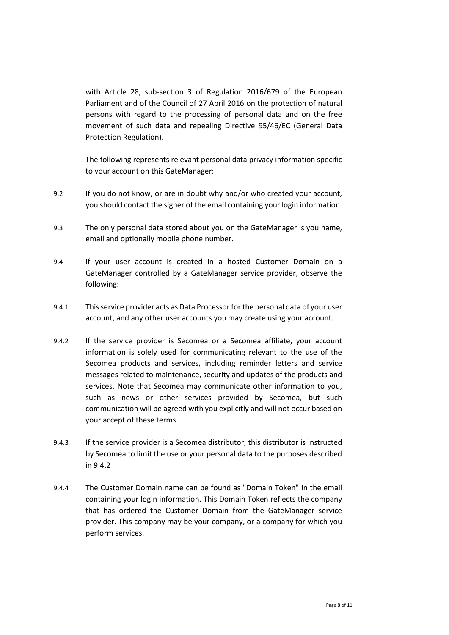with Article 28, sub-section 3 of Regulation 2016/679 of the European Parliament and of the Council of 27 April 2016 on the protection of natural persons with regard to the processing of personal data and on the free movement of such data and repealing Directive 95/46/EC (General Data Protection Regulation).

The following represents relevant personal data privacy information specific to your account on this GateManager:

- 9.2 If you do not know, or are in doubt why and/or who created your account, you should contact the signer of the email containing your login information.
- 9.3 The only personal data stored about you on the GateManager is you name, email and optionally mobile phone number.
- 9.4 If your user account is created in a hosted Customer Domain on a GateManager controlled by a GateManager service provider, observe the following:
- 9.4.1 This service provider acts as Data Processor for the personal data of your user account, and any other user accounts you may create using your account.
- 9.4.2 If the service provider is Secomea or a Secomea affiliate, your account information is solely used for communicating relevant to the use of the Secomea products and services, including reminder letters and service messages related to maintenance, security and updates of the products and services. Note that Secomea may communicate other information to you, such as news or other services provided by Secomea, but such communication will be agreed with you explicitly and will not occur based on your accept of these terms.
- 9.4.3 If the service provider is a Secomea distributor, this distributor is instructed by Secomea to limit the use or your personal data to the purposes described in 9.4.2
- 9.4.4 The Customer Domain name can be found as "Domain Token" in the email containing your login information. This Domain Token reflects the company that has ordered the Customer Domain from the GateManager service provider. This company may be your company, or a company for which you perform services.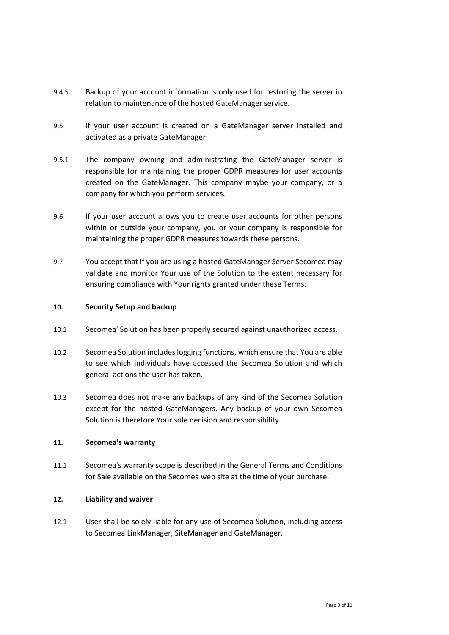- 9.4.5 Backup of your account information is only used for restoring the server in relation to maintenance of the hosted GateManager service.
- 9.5 If your user account is created on a GateManager server installed and activated as a private GateManager:
- 9.5.1 The company owning and administrating the GateManager server is responsible for maintaining the proper GDPR measures for user accounts created on the GateManager. This company maybe your company, or a company for which you perform services.
- 9.6 If your user account allows you to create user accounts for other persons within or outside your company, you or your company is responsible for maintaining the proper GDPR measures towards these persons.
- 9.7 You accept that if you are using a hosted GateManager Server Secomea may validate and monitor Your use of the Solution to the extent necessary for ensuring compliance with Your rights granted under these Terms.

### **10. Security Setup and backup**

- 10.1 Secomea' Solution has been properly secured against unauthorized access.
- 10.2 Secomea Solution includes logging functions, which ensure that You are able to see which individuals have accessed the Secomea Solution and which general actions the user has taken.
- 10.3 Secomea does not make any backups of any kind of the Secomea Solution except for the hosted GateManagers. Any backup of your own Secomea Solution is therefore Your sole decision and responsibility.

#### **11. Secomea's warranty**

11.1 Secomea's warranty scope is described in the General Terms and Conditions for Sale available on the Secomea web site at the time of your purchase.

## **12. Liability and waiver**

12.1 User shall be solely liable for any use of Secomea Solution, including access to Secomea LinkManager, SiteManager and GateManager.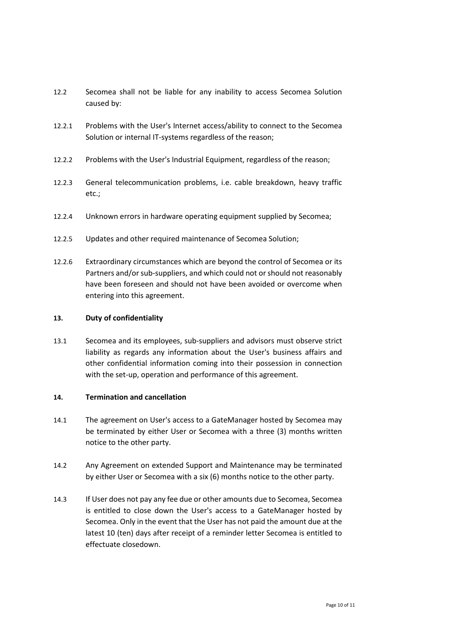- 12.2 Secomea shall not be liable for any inability to access Secomea Solution caused by:
- 12.2.1 Problems with the User's Internet access/ability to connect to the Secomea Solution or internal IT-systems regardless of the reason;
- 12.2.2 Problems with the User's Industrial Equipment, regardless of the reason;
- 12.2.3 General telecommunication problems, i.e. cable breakdown, heavy traffic etc.;
- 12.2.4 Unknown errors in hardware operating equipment supplied by Secomea;
- 12.2.5 Updates and other required maintenance of Secomea Solution;
- 12.2.6 Extraordinary circumstances which are beyond the control of Secomea or its Partners and/or sub-suppliers, and which could not or should not reasonably have been foreseen and should not have been avoided or overcome when entering into this agreement.

# **13. Duty of confidentiality**

13.1 Secomea and its employees, sub-suppliers and advisors must observe strict liability as regards any information about the User's business affairs and other confidential information coming into their possession in connection with the set-up, operation and performance of this agreement.

## **14. Termination and cancellation**

- 14.1 The agreement on User's access to a GateManager hosted by Secomea may be terminated by either User or Secomea with a three (3) months written notice to the other party.
- 14.2 Any Agreement on extended Support and Maintenance may be terminated by either User or Secomea with a six (6) months notice to the other party.
- 14.3 If User does not pay any fee due or other amounts due to Secomea, Secomea is entitled to close down the User's access to a GateManager hosted by Secomea. Only in the event that the User has not paid the amount due at the latest 10 (ten) days after receipt of a reminder letter Secomea is entitled to effectuate closedown.